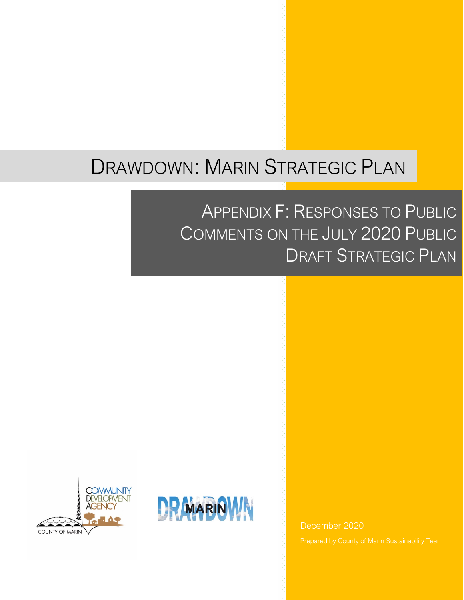# DRAWDOWN: MARIN STRATEGIC PLAN

## APPENDIX F: RESPONSES TO PUBLIC COMMENTS ON THE JULY 2020 PUBLIC DRAFT STRATEGIC PLAN





December 2020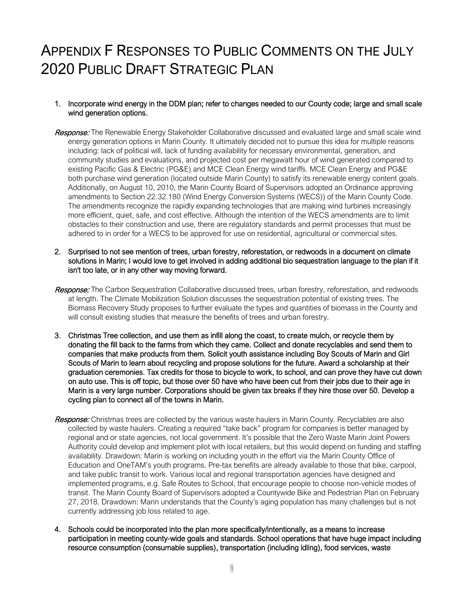### APPENDIX F RESPONSES TO PUBLIC COMMENTS ON THE JULY 2020 PUBLIC DRAFT STRATEGIC PLAN

#### 1. Incorporate wind energy in the DDM plan; refer to changes needed to our County code; large and small scale wind generation options.

- Response: The Renewable Energy Stakeholder Collaborative discussed and evaluated large and small scale wind energy generation options in Marin County. It ultimately decided not to pursue this idea for multiple reasons including: lack of political will, lack of funding availability for necessary environmental, generation, and community studies and evaluations, and projected cost per megawatt hour of wind generated compared to existing Pacific Gas & Electric (PG&E) and MCE Clean Energy wind tariffs. MCE Clean Energy and PG&E both purchase wind generation (located outside Marin County) to satisfy its renewable energy content goals. Additionally, on August 10, 2010, the Marin County Board of Supervisors adopted an Ordinance approving amendments to Section 22.32.180 (Wind Energy Conversion Systems (WECS)) of the Marin County Code. The amendments recognize the rapidly expanding technologies that are making wind turbines increasingly more efficient, quiet, safe, and cost effective. Although the intention of the WECS amendments are to limit obstacles to their construction and use, there are regulatory standards and permit processes that must be adhered to in order for a WECS to be approved for use on residential, agricultural or commercial sites.
- 2. Surprised to not see mention of trees, urban forestry, reforestation, or redwoods in a document on climate solutions in Marin; I would love to get involved in adding additional bio sequestration language to the plan if it isn't too late, or in any other way moving forward.
- Response: The Carbon Sequestration Collaborative discussed trees, urban forestry, reforestation, and redwoods at length. The Climate Mobilization Solution discusses the sequestration potential of existing trees. The Biomass Recovery Study proposes to further evaluate the types and quantities of biomass in the County and will consult existing studies that measure the benefits of trees and urban forestry.
- 3. Christmas Tree collection, and use them as infill along the coast, to create mulch, or recycle them by donating the fill back to the farms from which they came. Collect and donate recyclables and send them to companies that make products from them. Solicit youth assistance including Boy Scouts of Marin and Girl Scouts of Marin to learn about recycling and propose solutions for the future. Award a scholarship at their graduation ceremonies. Tax credits for those to bicycle to work, to school, and can prove they have cut down on auto use. This is off topic, but those over 50 have who have been cut from their jobs due to their age in Marin is a very large number. Corporations should be given tax breaks if they hire those over 50. Develop a cycling plan to connect all of the towns in Marin.
- Response: Christmas trees are collected by the various waste haulers in Marin County. Recyclables are also collected by waste haulers. Creating a required "take back" program for companies is better managed by regional and or state agencies, not local government. It's possible that the Zero Waste Marin Joint Powers Authority could develop and implement pilot with local retailers, but this would depend on funding and staffing availability. Drawdown: Marin is working on including youth in the effort via the Marin County Office of Education and OneTAM's youth programs. Pre-tax benefits are already available to those that bike, carpool, and take public transit to work. Various local and regional transportation agencies have designed and implemented programs, e.g. Safe Routes to School, that encourage people to choose non-vehicle modes of transit. The Marin County Board of Supervisors adopted a Countywide Bike and Pedestrian Plan on February 27, 2018. Drawdown: Marin understands that the County's aging population has many challenges but is not currently addressing job loss related to age.
- 4. Schools could be incorporated into the plan more specifically/intentionally, as a means to increase participation in meeting county-wide goals and standards. School operations that have huge impact including resource consumption (consumable supplies), transportation (including idling), food services, waste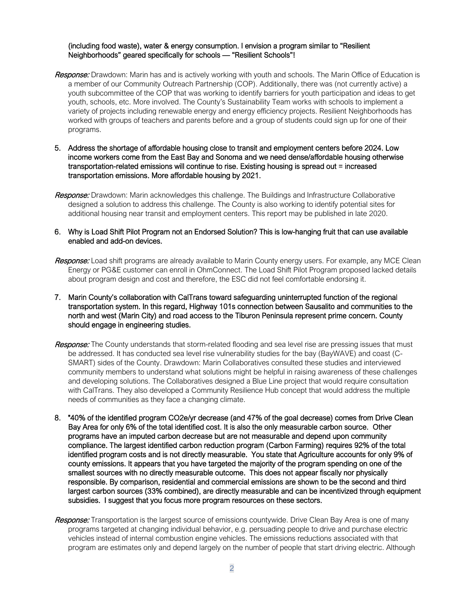#### (including food waste), water & energy consumption. I envision a program similar to "Resilient Neighborhoods" geared specifically for schools — "Resilient Schools"!

- Response: Drawdown: Marin has and is actively working with youth and schools. The Marin Office of Education is a member of our Community Outreach Partnership (COP). Additionally, there was (not currently active) a youth subcommittee of the COP that was working to identify barriers for youth participation and ideas to get youth, schools, etc. More involved. The County's Sustainability Team works with schools to implement a variety of projects including renewable energy and energy efficiency projects. Resilient Neighborhoods has worked with groups of teachers and parents before and a group of students could sign up for one of their programs.
- 5. Address the shortage of affordable housing close to transit and employment centers before 2024. Low income workers come from the East Bay and Sonoma and we need dense/affordable housing otherwise transportation-related emissions will continue to rise. Existing housing is spread out = increased transportation emissions. More affordable housing by 2021.
- Response: Drawdown: Marin acknowledges this challenge. The Buildings and Infrastructure Collaborative designed a solution to address this challenge. The County is also working to identify potential sites for additional housing near transit and employment centers. This report may be published in late 2020.
- 6. Why is Load Shift Pilot Program not an Endorsed Solution? This is low-hanging fruit that can use available enabled and add-on devices.
- Response: Load shift programs are already available to Marin County energy users. For example, any MCE Clean Energy or PG&E customer can enroll in OhmConnect. The Load Shift Pilot Program proposed lacked details about program design and cost and therefore, the ESC did not feel comfortable endorsing it.
- 7. Marin County's collaboration with CalTrans toward safeguarding uninterrupted function of the regional transportation system. In this regard, Highway 101s connection between Sausalito and communities to the north and west (Marin City) and road access to the Tiburon Peninsula represent prime concern. County should engage in engineering studies.
- Response: The County understands that storm-related flooding and sea level rise are pressing issues that must be addressed. It has conducted sea level rise vulnerability studies for the bay (BayWAVE) and coast (C-SMART) sides of the County. Drawdown: Marin Collaboratives consulted these studies and interviewed community members to understand what solutions might be helpful in raising awareness of these challenges and developing solutions. The Collaboratives designed a Blue Line project that would require consultation with CalTrans. They also developed a Community Resilience Hub concept that would address the multiple needs of communities as they face a changing climate.
- 8. "40% of the identified program CO2e/yr decrease (and 47% of the goal decrease) comes from Drive Clean Bay Area for only 6% of the total identified cost. It is also the only measurable carbon source. Other programs have an imputed carbon decrease but are not measurable and depend upon community compliance. The largest identified carbon reduction program (Carbon Farming) requires 92% of the total identified program costs and is not directly measurable. You state that Agriculture accounts for only 9% of county emissions. It appears that you have targeted the majority of the program spending on one of the smallest sources with no directly measurable outcome. This does not appear fiscally nor physically responsible. By comparison, residential and commercial emissions are shown to be the second and third largest carbon sources (33% combined), are directly measurable and can be incentivized through equipment subsidies. I suggest that you focus more program resources on these sectors.
- Response: Transportation is the largest source of emissions countywide. Drive Clean Bay Area is one of many programs targeted at changing individual behavior, e.g. persuading people to drive and purchase electric vehicles instead of internal combustion engine vehicles. The emissions reductions associated with that program are estimates only and depend largely on the number of people that start driving electric. Although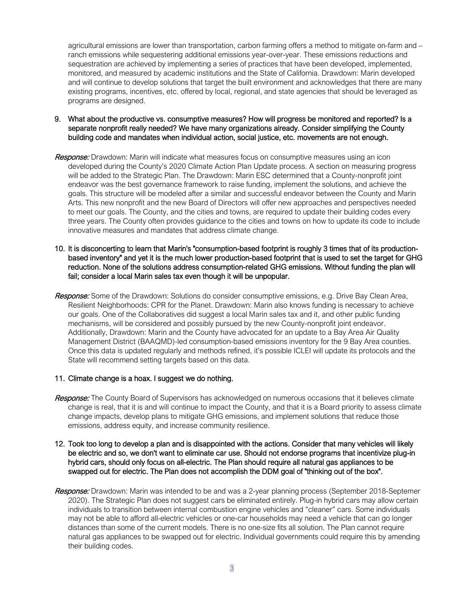agricultural emissions are lower than transportation, carbon farming offers a method to mitigate on-farm and – ranch emissions while sequestering additional emissions year-over-year. These emissions reductions and sequestration are achieved by implementing a series of practices that have been developed, implemented, monitored, and measured by academic institutions and the State of California. Drawdown: Marin developed and will continue to develop solutions that target the built environment and acknowledges that there are many existing programs, incentives, etc. offered by local, regional, and state agencies that should be leveraged as programs are designed.

- 9. What about the productive vs. consumptive measures? How will progress be monitored and reported? Is a separate nonprofit really needed? We have many organizations already. Consider simplifying the County building code and mandates when individual action, social justice, etc. movements are not enough.
- Response: Drawdown: Marin will indicate what measures focus on consumptive measures using an icon developed during the County's 2020 Climate Action Plan Update process. A section on measuring progress will be added to the Strategic Plan. The Drawdown: Marin ESC determined that a County-nonprofit joint endeavor was the best governance framework to raise funding, implement the solutions, and achieve the goals. This structure will be modeled after a similar and successful endeavor between the County and Marin Arts. This new nonprofit and the new Board of Directors will offer new approaches and perspectives needed to meet our goals. The County, and the cities and towns, are required to update their building codes every three years. The County often provides guidance to the cities and towns on how to update its code to include innovative measures and mandates that address climate change.
- 10. It is disconcerting to learn that Marin's "consumption-based footprint is roughly 3 times that of its productionbased inventory" and yet it is the much lower production-based footprint that is used to set the target for GHG reduction. None of the solutions address consumption-related GHG emissions. Without funding the plan will fail; consider a local Marin sales tax even though it will be unpopular.
- Response: Some of the Drawdown: Solutions do consider consumptive emissions, e.g. Drive Bay Clean Area, Resilient Neighborhoods: CPR for the Planet. Drawdown: Marin also knows funding is necessary to achieve our goals. One of the Collaboratives did suggest a local Marin sales tax and it, and other public funding mechanisms, will be considered and possibly pursued by the new County-nonprofit joint endeavor. Additionally, Drawdown: Marin and the County have advocated for an update to a Bay Area Air Quality Management District (BAAQMD)-led consumption-based emissions inventory for the 9 Bay Area counties. Once this data is updated regularly and methods refined, it's possible ICLEI will update its protocols and the State will recommend setting targets based on this data.
- 11. Climate change is a hoax. I suggest we do nothing.
- Response: The County Board of Supervisors has acknowledged on numerous occasions that it believes climate change is real, that it is and will continue to impact the County, and that it is a Board priority to assess climate change impacts, develop plans to mitigate GHG emissions, and implement solutions that reduce those emissions, address equity, and increase community resilience.

#### 12. Took too long to develop a plan and is disappointed with the actions. Consider that many vehicles will likely be electric and so, we don't want to eliminate car use. Should not endorse programs that incentivize plug-in hybrid cars, should only focus on all-electric. The Plan should require all natural gas appliances to be swapped out for electric. The Plan does not accomplish the DDM goal of "thinking out of the box".

Response: Drawdown: Marin was intended to be and was a 2-year planning process (September 2018-Septemer 2020). The Strategic Plan does not suggest cars be eliminated entirely. Plug-in hybrid cars may allow certain individuals to transition between internal combustion engine vehicles and "cleaner" cars. Some individuals may not be able to afford all-electric vehicles or one-car households may need a vehicle that can go longer distances than some of the current models. There is no one-size fits all solution. The Plan cannot require natural gas appliances to be swapped out for electric. Individual governments could require this by amending their building codes.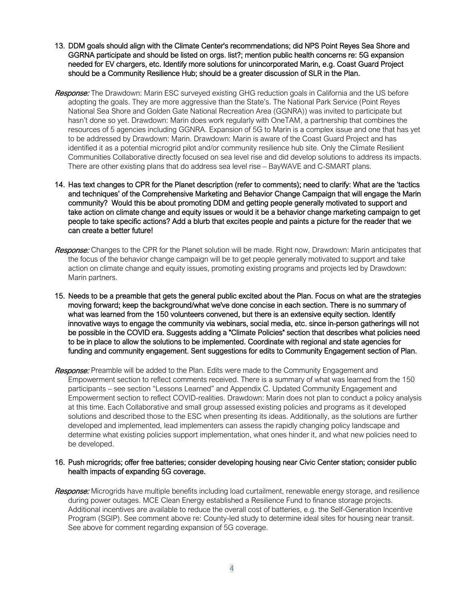- 13. DDM goals should align with the Climate Center's recommendations; did NPS Point Reyes Sea Shore and GGRNA participate and should be listed on orgs. list?; mention public health concerns re: 5G expansion needed for EV chargers, etc. Identify more solutions for unincorporated Marin, e.g. Coast Guard Project should be a Community Resilience Hub; should be a greater discussion of SLR in the Plan.
- Response: The Drawdown: Marin ESC surveyed existing GHG reduction goals in California and the US before adopting the goals. They are more aggressive than the State's. The National Park Service (Point Reyes National Sea Shore and Golden Gate National Recreation Area (GGNRA)) was invited to participate but hasn't done so yet. Drawdown: Marin does work regularly with OneTAM, a partnership that combines the resources of 5 agencies including GGNRA. Expansion of 5G to Marin is a complex issue and one that has yet to be addressed by Drawdown: Marin. Drawdown: Marin is aware of the Coast Guard Project and has identified it as a potential microgrid pilot and/or community resilience hub site. Only the Climate Resilient Communities Collaborative directly focused on sea level rise and did develop solutions to address its impacts. There are other existing plans that do address sea level rise – BayWAVE and C-SMART plans.
- 14. Has text changes to CPR for the Planet description (refer to comments); need to clarify: What are the 'tactics and techniques' of the Comprehensive Marketing and Behavior Change Campaign that will engage the Marin community? Would this be about promoting DDM and getting people generally motivated to support and take action on climate change and equity issues or would it be a behavior change marketing campaign to get people to take specific actions? Add a blurb that excites people and paints a picture for the reader that we can create a better future!
- Response: Changes to the CPR for the Planet solution will be made. Right now, Drawdown: Marin anticipates that the focus of the behavior change campaign will be to get people generally motivated to support and take action on climate change and equity issues, promoting existing programs and projects led by Drawdown: Marin partners.
- 15. Needs to be a preamble that gets the general public excited about the Plan. Focus on what are the strategies moving forward; keep the background/what we've done concise in each section. There is no summary of what was learned from the 150 volunteers convened, but there is an extensive equity section, Identify innovative ways to engage the community via webinars, social media, etc. since in-person gatherings will not be possible in the COVID era. Suggests adding a "Climate Policies" section that describes what policies need to be in place to allow the solutions to be implemented. Coordinate with regional and state agencies for funding and community engagement. Sent suggestions for edits to Community Engagement section of Plan.
- Response: Preamble will be added to the Plan. Edits were made to the Community Engagement and Empowerment section to reflect comments received. There is a summary of what was learned from the 150 participants – see section "Lessons Learned" and Appendix C. Updated Community Engagement and Empowerment section to reflect COVID-realities. Drawdown: Marin does not plan to conduct a policy analysis at this time. Each Collaborative and small group assessed existing policies and programs as it developed solutions and described those to the ESC when presenting its ideas. Additionally, as the solutions are further developed and implemented, lead implementers can assess the rapidly changing policy landscape and determine what existing policies support implementation, what ones hinder it, and what new policies need to be developed.

#### 16. Push microgrids; offer free batteries; consider developing housing near Civic Center station; consider public health impacts of expanding 5G coverage.

Response: Microgrids have multiple benefits including load curtailment, renewable energy storage, and resilience during power outages. MCE Clean Energy established a Resilience Fund to finance storage projects. Additional incentives are available to reduce the overall cost of batteries, e.g. the Self-Generation Incentive Program (SGIP). See comment above re: County-led study to determine ideal sites for housing near transit. See above for comment regarding expansion of 5G coverage.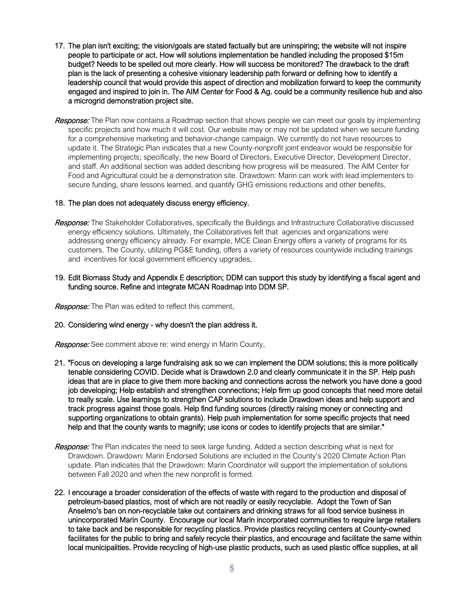- 17. The plan isn't exciting; the vision/goals are stated factually but are uninspiring; the website will not inspire people to participate or act. How will solutions implementation be handled including the proposed \$15m budget? Needs to be spelled out more clearly. How will success be monitored? The drawback to the draft plan is the lack of presenting a cohesive visionary leadership path forward or defining how to identify a leadership council that would provide this aspect of direction and mobilization forward to keep the community engaged and inspired to join in. The AIM Center for Food & Ag. could be a community resilience hub and also a microgrid demonstration project site.
- Response: The Plan now contains a Roadmap section that shows people we can meet our goals by implementing specific projects and how much it will cost. Our website may or may not be updated when we secure funding for a comprehensive marketing and behavior-change campaign. We currently do not have resources to update it. The Strategic Plan indicates that a new County-nonprofit joint endeavor would be responsible for implementing projects; specifically, the new Board of Directors, Executive Director, Development Director, and staff. An additional section was added describing how progress will be measured. The AIM Center for Food and Agricultural could be a demonstration site. Drawdown: Marin can work with lead implementers to secure funding, share lessons learned, and quantify GHG emissions reductions and other benefits.

#### 18. The plan does not adequately discuss energy efficiency.

- Response: The Stakeholder Collaboratives, specifically the Buildings and Infrastructure Collaborative discussed energy efficiency solutions. Ultimately, the Collaboratives felt that agencies and organizations were addressing energy efficiency already. For example, MCE Clean Energy offers a variety of programs for its customers. The County, utilizing PG&E funding, offers a variety of resources countywide including trainings and incentives for local government efficiency upgrades.
- 19. Edit Biomass Study and Appendix E description; DDM can support this study by identifying a fiscal agent and funding source. Refine and integrate MCAN Roadmap into DDM SP.

Response: The Plan was edited to reflect this comment.

#### 20. Considering wind energy - why doesn't the plan address it.

Response: See comment above re: wind energy in Marin County.

- 21. "Focus on developing a large fundraising ask so we can implement the DDM solutions; this is more politically tenable considering COVID. Decide what is Drawdown 2.0 and clearly communicate it in the SP. Help push ideas that are in place to give them more backing and connections across the network you have done a good job developing; Help establish and strengthen connections; Help firm up good concepts that need more detail to really scale. Use learnings to strengthen CAP solutions to include Drawdown ideas and help support and track progress against those goals. Help find funding sources (directly raising money or connecting and supporting organizations to obtain grants). Help push implementation for some specific projects that need help and that the county wants to magnify; use icons or codes to identify projects that are similar."
- Response: The Plan indicates the need to seek large funding. Added a section describing what is next for Drawdown. Drawdown: Marin Endorsed Solutions are included in the County's 2020 Climate Action Plan update. Plan indicates that the Drawdown: Marin Coordinator will support the implementation of solutions between Fall 2020 and when the new nonprofit is formed.
- 22. I encourage a broader consideration of the effects of waste with regard to the production and disposal of petroleum-based plastics, most of which are not readily or easily recyclable. Adopt the Town of San Anselmo's ban on non-recyclable take out containers and drinking straws for all food service business in unincorporated Marin County. Encourage our local Marin incorporated communities to require large retailers to take back and be responsible for recycling plastics. Provide plastics recycling centers at County-owned facilitates for the public to bring and safely recycle their plastics, and encourage and facilitate the same within local municipalities. Provide recycling of high-use plastic products, such as used plastic office supplies, at all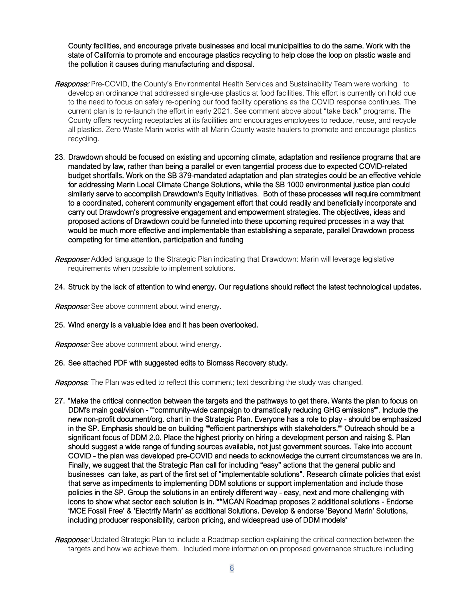County facilities, and encourage private businesses and local municipalities to do the same. Work with the state of California to promote and encourage plastics recycling to help close the loop on plastic waste and the pollution it causes during manufacturing and disposal.

- Response: Pre-COVID, the County's Environmental Health Services and Sustainability Team were working to develop an ordinance that addressed single-use plastics at food facilities. This effort is currently on hold due to the need to focus on safely re-opening our food facility operations as the COVID response continues. The current plan is to re-launch the effort in early 2021. See comment above about "take back" programs. The County offers recycling receptacles at its facilities and encourages employees to reduce, reuse, and recycle all plastics. Zero Waste Marin works with all Marin County waste haulers to promote and encourage plastics recycling.
- 23. Drawdown should be focused on existing and upcoming climate, adaptation and resilience programs that are mandated by law, rather than being a parallel or even tangential process due to expected COVID-related budget shortfalls. Work on the SB 379-mandated adaptation and plan strategies could be an effective vehicle for addressing Marin Local Climate Change Solutions, while the SB 1000 environmental justice plan could similarly serve to accomplish Drawdown's Equity Initiatives. Both of these processes will require commitment to a coordinated, coherent community engagement effort that could readily and beneficially incorporate and carry out Drawdown's progressive engagement and empowerment strategies. The objectives, ideas and proposed actions of Drawdown could be funneled into these upcoming required processes in a way that would be much more effective and implementable than establishing a separate, parallel Drawdown process competing for time attention, participation and funding
- Response: Added language to the Strategic Plan indicating that Drawdown: Marin will leverage legislative requirements when possible to implement solutions.

#### 24. Struck by the lack of attention to wind energy. Our regulations should reflect the latest technological updates.

**Response:** See above comment about wind energy.

#### 25. Wind energy is a valuable idea and it has been overlooked.

Response: See above comment about wind energy.

#### 26. See attached PDF with suggested edits to Biomass Recovery study.

Response*:* The Plan was edited to reflect this comment; text describing the study was changed.

- 27. "Make the critical connection between the targets and the pathways to get there. Wants the plan to focus on DDM's main goal/vision - ""community-wide campaign to dramatically reducing GHG emissions"". Include the new non-profit document/org. chart in the Strategic Plan. Everyone has a role to play - should be emphasized in the SP. Emphasis should be on building ""efficient partnerships with stakeholders."" Outreach should be a significant focus of DDM 2.0. Place the highest priority on hiring a development person and raising \$. Plan should suggest a wide range of funding sources available, not just government sources. Take into account COVID - the plan was developed pre-COVID and needs to acknowledge the current circumstances we are in. Finally, we suggest that the Strategic Plan call for including "easy" actions that the general public and businesses can take, as part of the first set of "implementable solutions". Research climate policies that exist that serve as impediments to implementing DDM solutions or support implementation and include those policies in the SP. Group the solutions in an entirely different way - easy, next and more challenging with icons to show what sector each solution is in. \*\*MCAN Roadmap proposes 2 additional solutions - Endorse 'MCE Fossil Free' & 'Electrify Marin' as additional Solutions. Develop & endorse 'Beyond Marin' Solutions, including producer responsibility, carbon pricing, and widespread use of DDM models"
- Response: Updated Strategic Plan to include a Roadmap section explaining the critical connection between the targets and how we achieve them. Included more information on proposed governance structure including